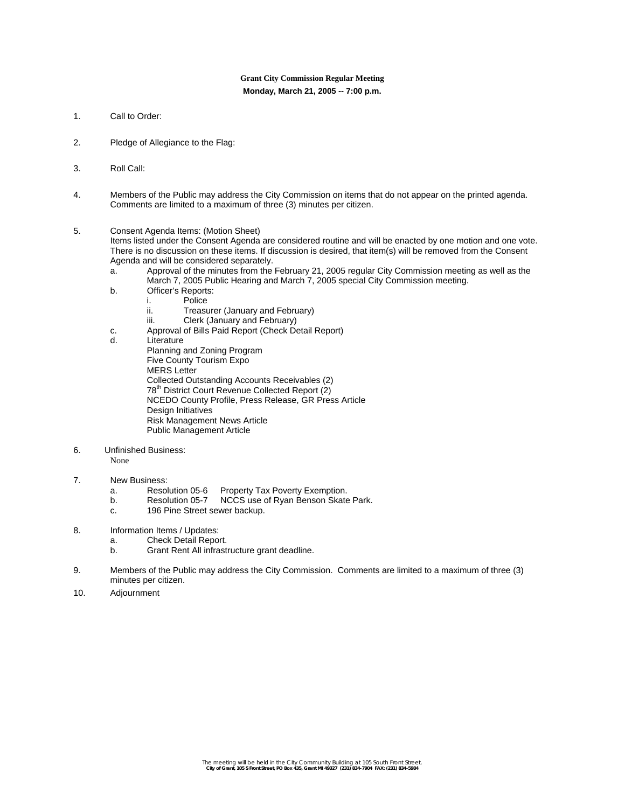# **Grant City Commission Regular Meeting Monday, March 21, 2005 -- 7:00 p.m.**

- 1. Call to Order:
- 2. Pledge of Allegiance to the Flag:
- 3. Roll Call:
- 4. Members of the Public may address the City Commission on items that do not appear on the printed agenda. Comments are limited to a maximum of three (3) minutes per citizen.
- 5. Consent Agenda Items: (Motion Sheet)

Items listed under the Consent Agenda are considered routine and will be enacted by one motion and one vote. There is no discussion on these items. If discussion is desired, that item(s) will be removed from the Consent Agenda and will be considered separately.

- a. Approval of the minutes from the February 21, 2005 regular City Commission meeting as well as the March 7, 2005 Public Hearing and March 7, 2005 special City Commission meeting.
- b. Officer's Reports:
	- i. Police<br>ii. Treasu
	- Treasurer (January and February)
	- iii. Clerk (January and February)
- c. Approval of Bills Paid Report (Check Detail Report)
- d. Literature
	- Planning and Zoning Program Five County Tourism Expo MERS Letter Collected Outstanding Accounts Receivables (2) 78th District Court Revenue Collected Report (2) NCEDO County Profile, Press Release, GR Press Article Design Initiatives Risk Management News Article Public Management Article
- 6. Unfinished Business:

# None

# 7. New Business:

- a. Resolution 05-6 Property Tax Poverty Exemption.
- b. Resolution 05-7 NCCS use of Ryan Benson Skate Park.
- c. 196 Pine Street sewer backup.
- 8. Information Items / Updates:
	- a. Check Detail Report.
	- b. Grant Rent All infrastructure grant deadline.
- 9. Members of the Public may address the City Commission. Comments are limited to a maximum of three (3) minutes per citizen.
- 10. Adjournment